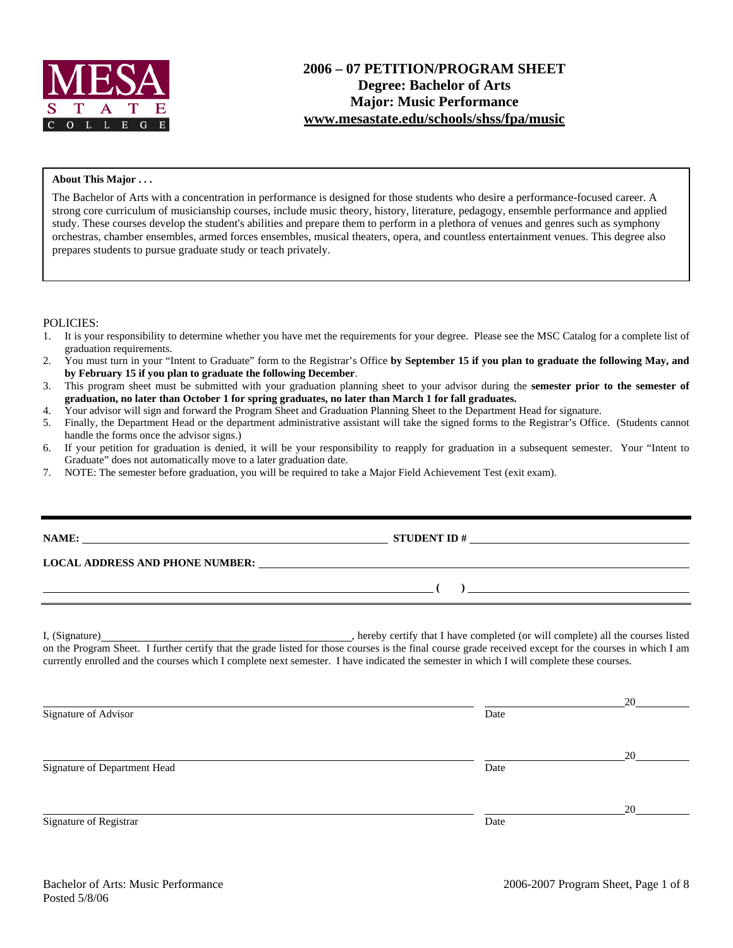

#### **About This Major . . .**

The Bachelor of Arts with a concentration in performance is designed for those students who desire a performance-focused career. A strong core curriculum of musicianship courses, include music theory, history, literature, pedagogy, ensemble performance and applied study. These courses develop the student's abilities and prepare them to perform in a plethora of venues and genres such as symphony orchestras, chamber ensembles, armed forces ensembles, musical theaters, opera, and countless entertainment venues. This degree also prepares students to pursue graduate study or teach privately.

#### POLICIES:

- 1. It is your responsibility to determine whether you have met the requirements for your degree. Please see the MSC Catalog for a complete list of graduation requirements.
- 2. You must turn in your "Intent to Graduate" form to the Registrar's Office **by September 15 if you plan to graduate the following May, and by February 15 if you plan to graduate the following December**.
- 3. This program sheet must be submitted with your graduation planning sheet to your advisor during the **semester prior to the semester of graduation, no later than October 1 for spring graduates, no later than March 1 for fall graduates.**
- 4. Your advisor will sign and forward the Program Sheet and Graduation Planning Sheet to the Department Head for signature.
- 5. Finally, the Department Head or the department administrative assistant will take the signed forms to the Registrar's Office. (Students cannot handle the forms once the advisor signs.)
- 6. If your petition for graduation is denied, it will be your responsibility to reapply for graduation in a subsequent semester. Your "Intent to Graduate" does not automatically move to a later graduation date.
- 7. NOTE: The semester before graduation, you will be required to take a Major Field Achievement Test (exit exam).

| $\begin{pmatrix} 1 & 1 \end{pmatrix}$                                                                                                                                                                                                                                             |
|-----------------------------------------------------------------------------------------------------------------------------------------------------------------------------------------------------------------------------------------------------------------------------------|
| I, (Signature) <b>Example 2</b> is the course is the course is the completed (or will complete) all the courses listed<br>on the Program Sheet. I further certify that the grade listed for those courses is the final course grade received except for the courses in which I am |

currently enrolled and the courses which I complete next semester. I have indicated the semester in which I will complete these courses.

|                              |      | 20 |
|------------------------------|------|----|
| Signature of Advisor         | Date |    |
|                              |      |    |
|                              |      | 20 |
| Signature of Department Head | Date |    |
|                              |      |    |
|                              |      | 20 |
| Signature of Registrar       | Date |    |
|                              |      |    |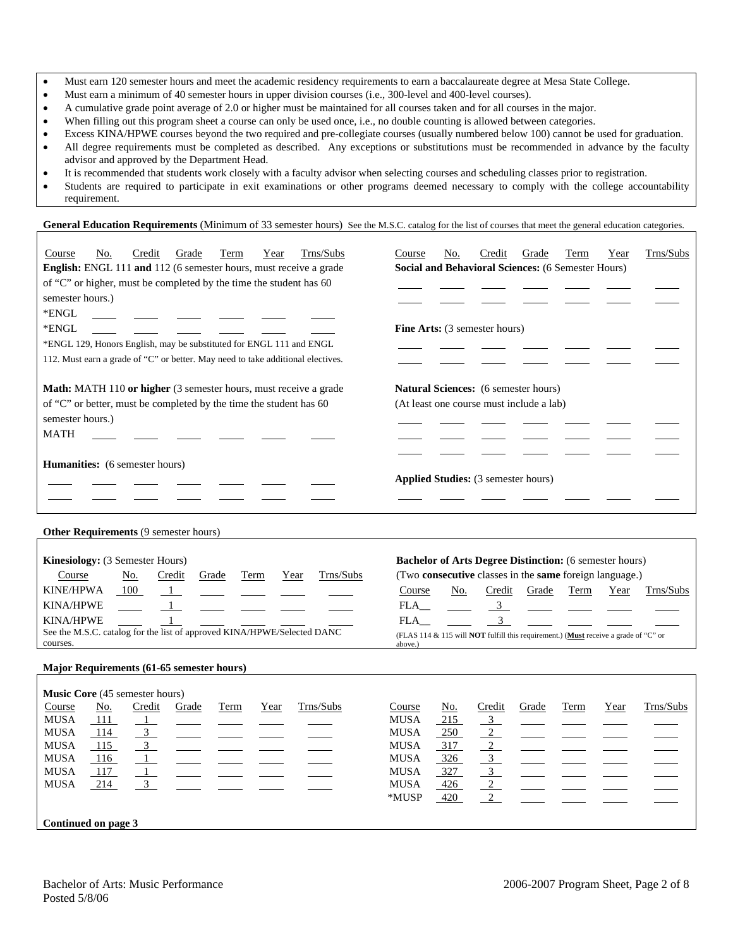- Must earn 120 semester hours and meet the academic residency requirements to earn a baccalaureate degree at Mesa State College.
- Must earn a minimum of 40 semester hours in upper division courses (i.e., 300-level and 400-level courses).
- A cumulative grade point average of 2.0 or higher must be maintained for all courses taken and for all courses in the major.
- When filling out this program sheet a course can only be used once, i.e., no double counting is allowed between categories.
- Excess KINA/HPWE courses beyond the two required and pre-collegiate courses (usually numbered below 100) cannot be used for graduation. • All degree requirements must be completed as described. Any exceptions or substitutions must be recommended in advance by the faculty advisor and approved by the Department Head.
- It is recommended that students work closely with a faculty advisor when selecting courses and scheduling classes prior to registration.
- Students are required to participate in exit examinations or other programs deemed necessary to comply with the college accountability requirement.

General Education Requirements (Minimum of 33 semester hours) See the M.S.C. catalog for the list of courses that meet the general education categories.

| Trns/Subs<br>Credit<br>Course<br>No.<br>Grade<br>Term<br>Year<br>English: ENGL 111 and 112 (6 semester hours, must receive a grade<br>of "C" or higher, must be completed by the time the student has 60<br>semester hours.)<br>*ENGL<br>*ENGL<br>*ENGL 129, Honors English, may be substituted for ENGL 111 and ENGL<br>112. Must earn a grade of "C" or better. May need to take additional electives. | Trns/Subs<br>Course<br>No.<br>Credit<br>Grade<br>Term<br>Year<br>Social and Behavioral Sciences: (6 Semester Hours)<br>Fine Arts: (3 semester hours)                                                                                                                                                                                                    |
|----------------------------------------------------------------------------------------------------------------------------------------------------------------------------------------------------------------------------------------------------------------------------------------------------------------------------------------------------------------------------------------------------------|---------------------------------------------------------------------------------------------------------------------------------------------------------------------------------------------------------------------------------------------------------------------------------------------------------------------------------------------------------|
| Math: MATH 110 or higher (3 semester hours, must receive a grade<br>of "C" or better, must be completed by the time the student has 60<br>semester hours.)<br><b>MATH</b>                                                                                                                                                                                                                                | Natural Sciences: (6 semester hours)<br>(At least one course must include a lab)                                                                                                                                                                                                                                                                        |
| Humanities: (6 semester hours)                                                                                                                                                                                                                                                                                                                                                                           | Applied Studies: (3 semester hours)                                                                                                                                                                                                                                                                                                                     |
| Other Requirements (9 semester hours)                                                                                                                                                                                                                                                                                                                                                                    |                                                                                                                                                                                                                                                                                                                                                         |
| Kinesiology: (3 Semester Hours)<br>Trns/Subs<br>Course<br>No.<br>Credit<br>Grade<br>Term<br>Year<br><b>KINE/HPWA</b><br>100<br>$\mathbf{1}$<br><b>KINA/HPWE</b><br>$\overline{1}$<br><b>KINA/HPWE</b><br>1<br>See the M.S.C. catalog for the list of approved KINA/HPWE/Selected DANC<br>courses.                                                                                                        | <b>Bachelor of Arts Degree Distinction:</b> (6 semester hours)<br>(Two consecutive classes in the same foreign language.)<br>Course<br>No.<br>Credit<br>Grade<br>Term<br>Trns/Subs<br>Year<br>$\overline{\mathbf{3}}$<br>FLA<br>$\overline{3}$<br>FLA<br>(FLAS 114 & 115 will NOT fulfill this requirement.) (Must receive a grade of "C" or<br>above.) |
| Major Requirements (61-65 semester hours)                                                                                                                                                                                                                                                                                                                                                                |                                                                                                                                                                                                                                                                                                                                                         |
| Music Core (45 semester hours)<br>Trns/Subs<br>Course<br>No.<br>Credit<br>Grade<br>Term<br>Year<br><b>MUSA</b><br>111<br>$\mathbf{1}$<br><b>MUSA</b><br>$\overline{\phantom{0}3}$<br>114<br>MUSA<br>115<br>3<br>$\overline{1}$<br>MUSA<br>116<br><b>MUSA</b><br>$\mathbf{1}$<br>117<br><b>MUSA</b><br>214<br>3                                                                                           | Trns/Subs<br>Course<br>Credit<br>Term<br><u>No.</u><br>Grade<br>Year<br>215<br><b>MUSA</b><br>3<br>$\overline{2}$<br><b>MUSA</b><br>$-250$<br>317<br>$\overline{2}$<br>MUSA<br><b>MUSA</b><br>3 <sup>1</sup><br>326<br>$\overline{3}$<br><b>MUSA</b><br>327<br><b>MUSA</b><br>426<br>$\overline{2}$<br>$\overline{2}$<br>*MUSP<br>420                   |
| Continued on page 3                                                                                                                                                                                                                                                                                                                                                                                      |                                                                                                                                                                                                                                                                                                                                                         |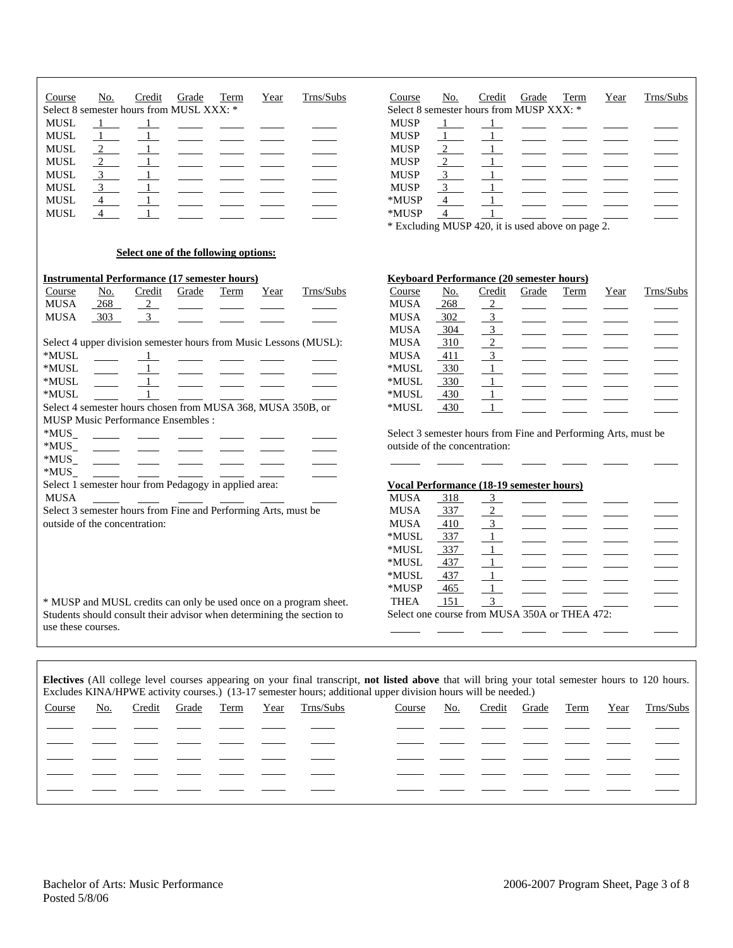| Trns/Subs<br>Term<br>Course<br>No.<br>Credit<br>Grade<br>Year<br>Select 8 semester hours from MUSL XXX: *<br><b>MUSL</b><br>$\overline{1}$<br>$\mathbf{1}$<br><b>MUSL</b><br>$\mathbf{1}$<br>$\frac{2}{2}$<br><b>MUSL</b><br>$\overline{1}$<br>$\overline{2}$<br><b>MUSL</b><br><b>MUSL</b><br>$\overline{3}$<br>$\frac{3}{2}$<br><b>MUSL</b><br>4<br><b>MUSL</b><br><b>MUSL</b><br>$\overline{4}$                                                           | Trns/Subs<br>Course<br>No.<br>Credit<br>Grade<br><b>Term</b><br>Year<br>Select 8 semester hours from MUSP XXX: *<br><b>MUSP</b><br>$\overline{1}$<br>$\mathbf{1}$<br><b>MUSP</b><br>$\mathbf{1}$<br>$\mathbf{1}$<br>$\overline{2}$<br>1<br><b>MUSP</b><br>$\overline{2}$<br><b>MUSP</b><br>$\mathbf{1}$<br><b>MUSP</b><br>$\overline{3}$<br>3<br><b>MUSP</b><br>1<br>*MUSP<br>$\overline{4}$<br>$\mathbf{1}$<br>*MUSP<br>$\overline{4}$<br>* Excluding MUSP 420, it is used above on page 2.                                                                                           |
|--------------------------------------------------------------------------------------------------------------------------------------------------------------------------------------------------------------------------------------------------------------------------------------------------------------------------------------------------------------------------------------------------------------------------------------------------------------|----------------------------------------------------------------------------------------------------------------------------------------------------------------------------------------------------------------------------------------------------------------------------------------------------------------------------------------------------------------------------------------------------------------------------------------------------------------------------------------------------------------------------------------------------------------------------------------|
| Select one of the following options:                                                                                                                                                                                                                                                                                                                                                                                                                         |                                                                                                                                                                                                                                                                                                                                                                                                                                                                                                                                                                                        |
| <b>Instrumental Performance (17 semester hours)</b><br>Trns/Subs<br>Course<br><u>No.</u><br>Credit<br>Grade<br>Year<br>Term<br>${\bf MUSA}$<br>268<br>$\overline{2}$<br>3 <sup>7</sup><br><b>MUSA</b><br>303<br>Select 4 upper division semester hours from Music Lessons (MUSL):<br>*MUSL<br>*MUSL<br>*MUSL<br>*MUSL<br>Select 4 semester hours chosen from MUSA 368, MUSA 350B, or<br><b>MUSP Music Performance Ensembles:</b><br>*MUS_<br>*MUS_<br>$*MUS$ | <b>Keyboard Performance (20 semester hours)</b><br>Credit<br>Course<br><u>No.</u><br>Trns/Subs<br>Grade<br><b>Term</b><br>Year<br><b>MUSA</b><br>268<br>$\overline{2}$<br>$\overline{3}$<br>302<br><b>MUSA</b><br>$\frac{3}{2}$<br><b>MUSA</b><br>304<br><b>MUSA</b><br>310<br>$\overline{\mathbf{3}}$<br><b>MUSA</b><br>411<br>$\overline{1}$<br>$^*\rm MUSL$<br>330<br>$\mathbf{1}$<br>*MUSL<br>330<br>$^*\rm MUSL$<br>$\mathbf{1}$<br>430<br>$\mathbf{1}$<br>$^*\rm MUSL$<br>430<br>Select 3 semester hours from Fine and Performing Arts, must be<br>outside of the concentration: |
| *MUS_<br>Select 1 semester hour from Pedagogy in applied area:<br><b>MUSA</b><br>Select 3 semester hours from Fine and Performing Arts, must be<br>outside of the concentration:<br>* MUSP and MUSL credits can only be used once on a program sheet.<br>Students should consult their advisor when determining the section to<br>use these courses.                                                                                                         | <b>Vocal Performance (18-19 semester hours)</b><br><b>MUSA</b><br>318<br>$\overline{3}$<br>$\overline{2}$<br>337<br><b>MUSA</b><br>$\overline{3}$<br><b>MUSA</b><br>410<br>1<br>*MUSL<br>337<br>$^*\rm MUSL$<br>337<br>$\perp$<br>*MUSL<br>437<br>$\perp$<br>1<br>437<br>*MUSL<br>$\mathbf{1}$<br>*MUSP<br>465<br>$\overline{3}$<br>151<br><b>THEA</b><br>Select one course from MUSA 350A or THEA 472:                                                                                                                                                                                |
| Electives (All college level courses appearing on your final transcript, not listed above that will bring your total semester hours to 120 hours.<br>Excludes KINA/HPWE activity courses.) (13-17 semester hours; additional upper division hours will be needed.)<br>Trns/Subs<br><u>No.</u><br>Credit<br>Year<br>Course<br>Grade<br>Term                                                                                                                   | Trns/Subs<br>Course<br>No.<br>Credit<br>Year<br>Grade<br>Term                                                                                                                                                                                                                                                                                                                                                                                                                                                                                                                          |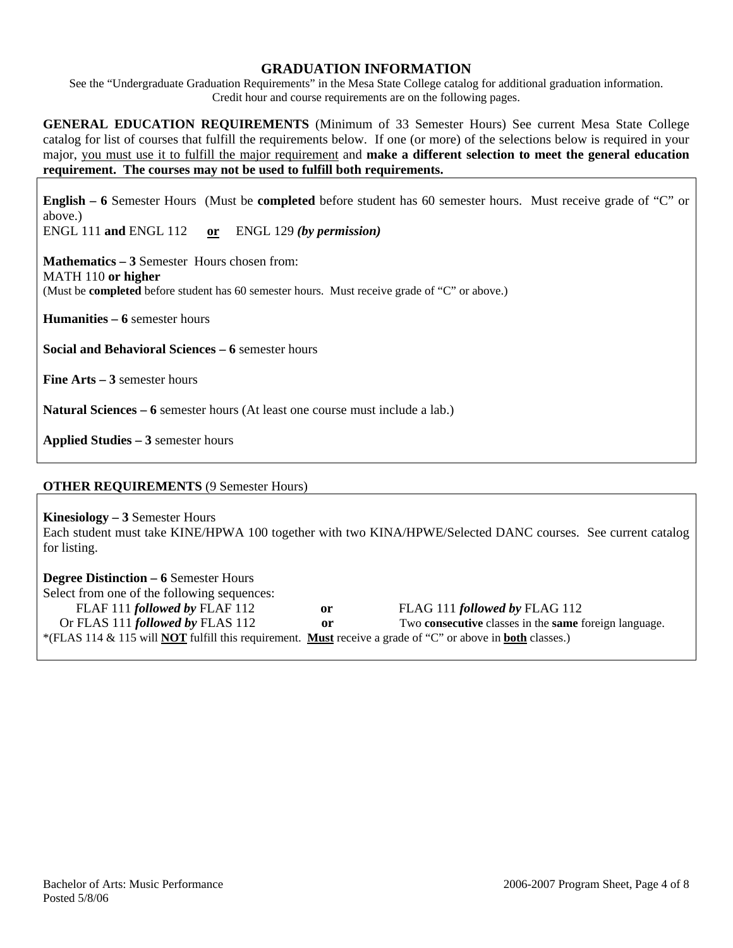# **GRADUATION INFORMATION**

See the "Undergraduate Graduation Requirements" in the Mesa State College catalog for additional graduation information. Credit hour and course requirements are on the following pages.

**GENERAL EDUCATION REQUIREMENTS** (Minimum of 33 Semester Hours) See current Mesa State College catalog for list of courses that fulfill the requirements below. If one (or more) of the selections below is required in your major, you must use it to fulfill the major requirement and **make a different selection to meet the general education requirement. The courses may not be used to fulfill both requirements.**

**English – 6** Semester Hours (Must be **completed** before student has 60 semester hours. Must receive grade of "C" or above.)

ENGL 111 **and** ENGL 112 **or** ENGL 129 *(by permission)*

**Mathematics – 3** Semester Hours chosen from: MATH 110 **or higher** (Must be **completed** before student has 60 semester hours. Must receive grade of "C" or above.)

**Humanities – 6** semester hours

**Social and Behavioral Sciences – 6** semester hours

**Fine Arts – 3** semester hours

**Natural Sciences – 6** semester hours (At least one course must include a lab.)

**Applied Studies – 3** semester hours

# **OTHER REQUIREMENTS** (9 Semester Hours)

**Kinesiology – 3** Semester Hours

Each student must take KINE/HPWA 100 together with two KINA/HPWE/Selected DANC courses. See current catalog for listing.

**Degree Distinction – 6** Semester Hours Select from one of the following sequences: FLAF 111 *followed by* FLAF 112 **or** FLAG 111 *followed by* FLAG 112 Or FLAS 111 *followed by* FLAS 112 **or** Two **consecutive** classes in the **same** foreign language. \*(FLAS 114 & 115 will **NOT** fulfill this requirement. **Must** receive a grade of "C" or above in **both** classes.)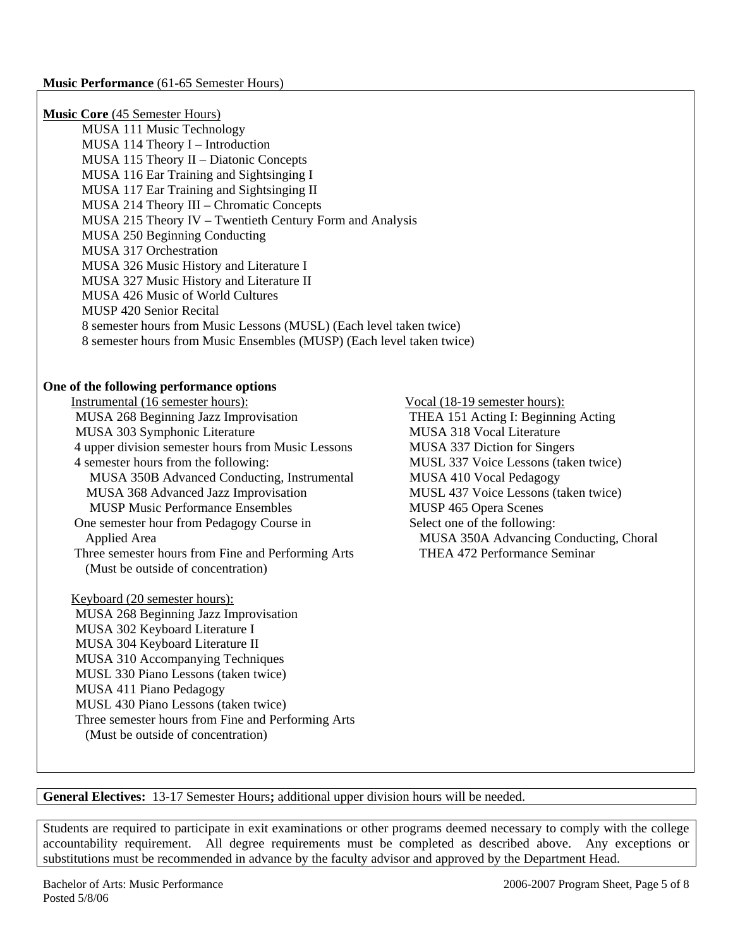| <b>Music Core</b> (45 Semester Hours)<br>MUSA 111 Music Technology<br>MUSA 114 Theory I - Introduction<br>MUSA 115 Theory II - Diatonic Concepts<br>MUSA 116 Ear Training and Sightsinging I<br>MUSA 117 Ear Training and Sightsinging II<br>MUSA 214 Theory III - Chromatic Concepts<br>MUSA 215 Theory IV - Twentieth Century Form and Analysis<br>MUSA 250 Beginning Conducting<br>MUSA 317 Orchestration<br>MUSA 326 Music History and Literature I<br>MUSA 327 Music History and Literature II<br>MUSA 426 Music of World Cultures<br>MUSP 420 Senior Recital<br>8 semester hours from Music Lessons (MUSL) (Each level taken twice)<br>8 semester hours from Music Ensembles (MUSP) (Each level taken twice) |                                                                                                                                                                                                                                                                                                                                                                                 |
|--------------------------------------------------------------------------------------------------------------------------------------------------------------------------------------------------------------------------------------------------------------------------------------------------------------------------------------------------------------------------------------------------------------------------------------------------------------------------------------------------------------------------------------------------------------------------------------------------------------------------------------------------------------------------------------------------------------------|---------------------------------------------------------------------------------------------------------------------------------------------------------------------------------------------------------------------------------------------------------------------------------------------------------------------------------------------------------------------------------|
| One of the following performance options<br>Instrumental (16 semester hours):<br>MUSA 268 Beginning Jazz Improvisation<br>MUSA 303 Symphonic Literature<br>4 upper division semester hours from Music Lessons<br>4 semester hours from the following:<br>MUSA 350B Advanced Conducting, Instrumental<br>MUSA 368 Advanced Jazz Improvisation<br><b>MUSP Music Performance Ensembles</b><br>One semester hour from Pedagogy Course in<br><b>Applied Area</b><br>Three semester hours from Fine and Performing Arts<br>(Must be outside of concentration)                                                                                                                                                            | Vocal (18-19 semester hours):<br>THEA 151 Acting I: Beginning Acting<br>MUSA 318 Vocal Literature<br>MUSA 337 Diction for Singers<br>MUSL 337 Voice Lessons (taken twice)<br>MUSA 410 Vocal Pedagogy<br>MUSL 437 Voice Lessons (taken twice)<br>MUSP 465 Opera Scenes<br>Select one of the following:<br>MUSA 350A Advancing Conducting, Choral<br>THEA 472 Performance Seminar |
| Keyboard (20 semester hours):<br>MUSA 268 Beginning Jazz Improvisation<br>MUSA 302 Keyboard Literature I<br>MUSA 304 Keyboard Literature II<br>MUSA 310 Accompanying Techniques<br>MUSL 330 Piano Lessons (taken twice)<br>MUSA 411 Piano Pedagogy<br>MUSL 430 Piano Lessons (taken twice)<br>Three semester hours from Fine and Performing Arts<br>(Must be outside of concentration)                                                                                                                                                                                                                                                                                                                             |                                                                                                                                                                                                                                                                                                                                                                                 |

**General Electives:** 13-17 Semester Hours**;** additional upper division hours will be needed.

Students are required to participate in exit examinations or other programs deemed necessary to comply with the college accountability requirement. All degree requirements must be completed as described above. Any exceptions or substitutions must be recommended in advance by the faculty advisor and approved by the Department Head.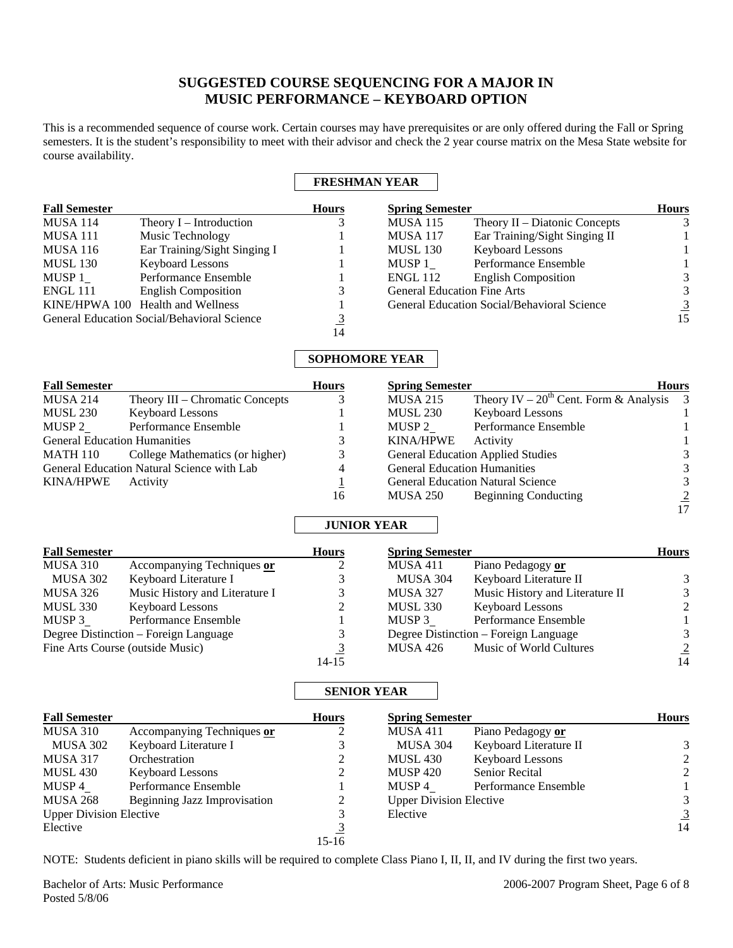# **SUGGESTED COURSE SEQUENCING FOR A MAJOR IN MUSIC PERFORMANCE – KEYBOARD OPTION**

This is a recommended sequence of course work. Certain courses may have prerequisites or are only offered during the Fall or Spring semesters. It is the student's responsibility to meet with their advisor and check the 2 year course matrix on the Mesa State website for course availability.

## **FRESHMAN YEAR**

| <b>Fall Semester</b> |                                                    | <b>Hours</b> | <b>Spring Semester</b>             |                                             | <b>Hours</b>   |
|----------------------|----------------------------------------------------|--------------|------------------------------------|---------------------------------------------|----------------|
| <b>MUSA 114</b>      | Theory $I$ – Introduction                          |              | <b>MUSA 115</b>                    | Theory $II$ – Diatonic Concepts             | 3              |
| <b>MUSA 111</b>      | Music Technology                                   |              | <b>MUSA 117</b>                    | Ear Training/Sight Singing II               |                |
| <b>MUSA 116</b>      | Ear Training/Sight Singing I                       |              | <b>MUSL 130</b>                    | <b>Keyboard Lessons</b>                     |                |
| <b>MUSL 130</b>      | <b>Keyboard Lessons</b>                            |              | MUSP 1                             | Performance Ensemble                        |                |
| MUSP 1               | Performance Ensemble                               |              | <b>ENGL 112</b>                    | <b>English Composition</b>                  | 3              |
| <b>ENGL 111</b>      | <b>English Composition</b>                         |              | <b>General Education Fine Arts</b> |                                             | 3              |
|                      | KINE/HPWA 100 Health and Wellness                  |              |                                    | General Education Social/Behavioral Science | $\overline{3}$ |
|                      | <b>General Education Social/Behavioral Science</b> |              |                                    |                                             | 15             |
|                      |                                                    | 14           |                                    |                                             |                |

## **SOPHOMORE YEAR**

| <b>Fall Semester</b>                |                                            | <b>Hours</b> | <b>Spring Semester</b>              |                                               | <b>Hours</b> |
|-------------------------------------|--------------------------------------------|--------------|-------------------------------------|-----------------------------------------------|--------------|
| <b>MUSA 214</b>                     | Theory III – Chromatic Concepts            |              | <b>MUSA 215</b>                     | Theory IV – $20^{th}$ Cent. Form & Analysis 3 |              |
| MUSL 230                            | <b>Keyboard Lessons</b>                    |              | <b>MUSL 230</b>                     | <b>Keyboard Lessons</b>                       |              |
| MUSP 2                              | Performance Ensemble                       |              | MUSP 2                              | Performance Ensemble                          |              |
| <b>General Education Humanities</b> |                                            |              | <b>KINA/HPWE</b>                    | Activity                                      |              |
| MATH 110                            | College Mathematics (or higher)            | 3            |                                     | <b>General Education Applied Studies</b>      | 3            |
|                                     | General Education Natural Science with Lab | 4            | <b>General Education Humanities</b> |                                               | 3            |
| <b>KINA/HPWE</b>                    | Activity                                   |              |                                     | <b>General Education Natural Science</b>      | 3            |
|                                     |                                            | 16           | MUSA 250                            | Beginning Conducting                          | 2            |

### **JUNIOR YEAR**

| <b>Fall Semester</b> |                                       | <b>Hours</b> | <b>Spring Semester</b> |                                       | <b>Hours</b>   |
|----------------------|---------------------------------------|--------------|------------------------|---------------------------------------|----------------|
| MUSA 310             | Accompanying Techniques or            |              | <b>MUSA 411</b>        | Piano Pedagogy or                     |                |
| MUSA 302             | Keyboard Literature I                 |              | <b>MUSA 304</b>        | Keyboard Literature II                | 3              |
| MUSA 326             | Music History and Literature I        |              | <b>MUSA 327</b>        | Music History and Literature II       | 3              |
| MUSL 330             | <b>Keyboard Lessons</b>               |              | <b>MUSL 330</b>        | <b>Keyboard Lessons</b>               | $\mathcal{L}$  |
| MUSP 3               | Performance Ensemble                  |              | MUSP 3                 | Performance Ensemble                  |                |
|                      | Degree Distinction – Foreign Language |              |                        | Degree Distinction – Foreign Language | 3              |
|                      | Fine Arts Course (outside Music)      |              | <b>MUSA 426</b>        | Music of World Cultures               | $\overline{2}$ |
|                      |                                       | $14 - 15$    |                        |                                       | 14             |

### **SENIOR YEAR**

| <b>Fall Semester</b>           | <b>Spring Semester</b><br><b>Hours</b> |       |                                | <b>Hours</b>            |                |
|--------------------------------|----------------------------------------|-------|--------------------------------|-------------------------|----------------|
| MUSA 310                       | Accompanying Techniques or             |       | <b>MUSA 411</b>                | Piano Pedagogy or       |                |
| MUSA 302                       | Keyboard Literature I                  |       | MUSA 304                       | Keyboard Literature II  | 3              |
| <b>MUSA 317</b>                | Orchestration                          | 2     | <b>MUSL 430</b>                | <b>Keyboard Lessons</b> | $\mathfrak{D}$ |
| MUSL 430                       | <b>Keyboard Lessons</b>                |       | <b>MUSP 420</b>                | <b>Senior Recital</b>   | 2              |
| MUSP 4                         | Performance Ensemble                   |       | MUSP 4                         | Performance Ensemble    |                |
| <b>MUSA 268</b>                | Beginning Jazz Improvisation           | 2     | <b>Upper Division Elective</b> |                         | 3              |
| <b>Upper Division Elective</b> |                                        |       | Elective                       |                         | $\overline{3}$ |
| Elective                       |                                        |       |                                |                         | 14             |
|                                |                                        | 15-16 |                                |                         |                |

NOTE: Students deficient in piano skills will be required to complete Class Piano I, II, II, and IV during the first two years.

17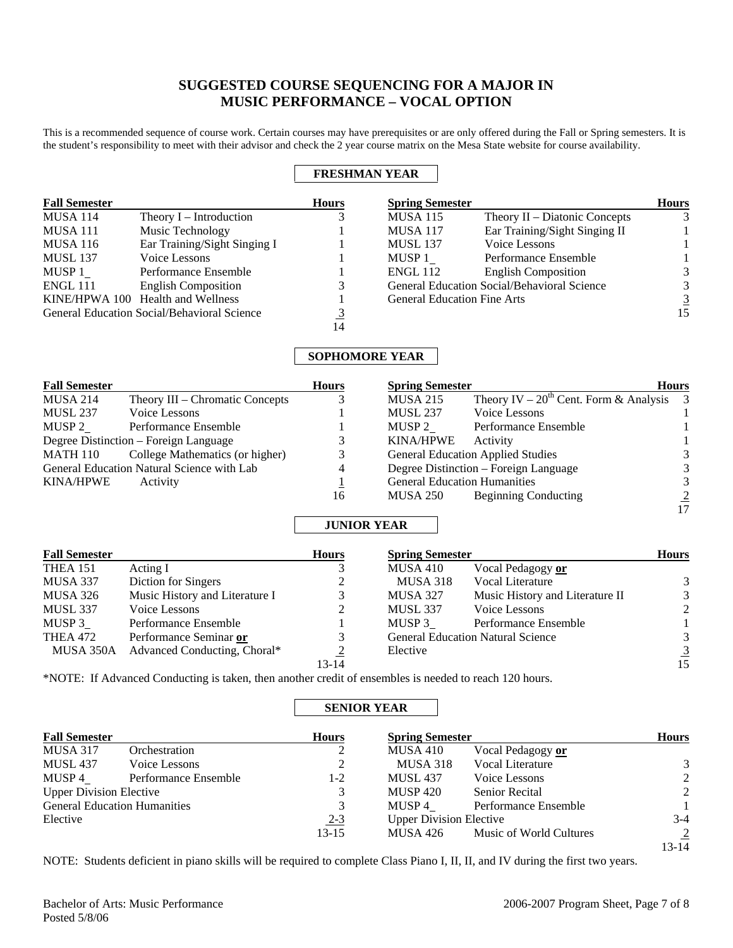# **SUGGESTED COURSE SEQUENCING FOR A MAJOR IN MUSIC PERFORMANCE – VOCAL OPTION**

This is a recommended sequence of course work. Certain courses may have prerequisites or are only offered during the Fall or Spring semesters. It is the student's responsibility to meet with their advisor and check the 2 year course matrix on the Mesa State website for course availability.

## **FRESHMAN YEAR**

| <b>Fall Semester</b> |                                                    | <b>Hours</b> | <b>Spring Semester</b>             |                                             | <b>Hours</b> |
|----------------------|----------------------------------------------------|--------------|------------------------------------|---------------------------------------------|--------------|
| <b>MUSA 114</b>      | Theory $I$ – Introduction                          |              | <b>MUSA 115</b>                    | Theory $II$ – Diatonic Concepts             | 3            |
| MUSA 111             | Music Technology                                   |              | <b>MUSA 117</b>                    | Ear Training/Sight Singing II               |              |
| <b>MUSA 116</b>      | Ear Training/Sight Singing I                       |              | <b>MUSL 137</b>                    | Voice Lessons                               |              |
| <b>MUSL 137</b>      | Voice Lessons                                      |              | MUSP 1                             | Performance Ensemble                        |              |
| MUSP 1               | Performance Ensemble                               |              | <b>ENGL 112</b>                    | <b>English Composition</b>                  | 3            |
| ENGL 111             | <b>English Composition</b>                         |              |                                    | General Education Social/Behavioral Science | 3            |
|                      | KINE/HPWA 100 Health and Wellness                  |              | <b>General Education Fine Arts</b> |                                             | 3            |
|                      | <b>General Education Social/Behavioral Science</b> |              |                                    |                                             | 15           |
|                      |                                                    | 14           |                                    |                                             |              |

### **SOPHOMORE YEAR**

| <b>Fall Semester</b> |                                            | <b>Hours</b> | <b>Spring Semester</b>              |                                               | <b>Hours</b> |
|----------------------|--------------------------------------------|--------------|-------------------------------------|-----------------------------------------------|--------------|
| <b>MUSA 214</b>      | Theory III – Chromatic Concepts            |              | <b>MUSA 215</b>                     | Theory IV – $20^{th}$ Cent. Form & Analysis 3 |              |
| <b>MUSL 237</b>      | Voice Lessons                              |              | <b>MUSL 237</b>                     | Voice Lessons                                 |              |
| MUSP 2               | Performance Ensemble                       |              | MUSP 2                              | Performance Ensemble                          |              |
|                      | Degree Distinction - Foreign Language      |              | <b>KINA/HPWE</b>                    | Activity                                      |              |
| MATH 110             | College Mathematics (or higher)            |              |                                     | <b>General Education Applied Studies</b>      |              |
|                      | General Education Natural Science with Lab | 4            |                                     | Degree Distinction – Foreign Language         | 3            |
| <b>KINA/HPWE</b>     | Activity                                   |              | <b>General Education Humanities</b> |                                               | 3            |
|                      |                                            | 16           | MUSA 250                            | <b>Beginning Conducting</b>                   |              |
|                      |                                            |              |                                     |                                               | 17           |

## **JUNIOR YEAR**

| <b>Fall Semester</b> |                                | <b>Hours</b>   | <b>Spring Semester</b> |                                          | <b>Hours</b>   |
|----------------------|--------------------------------|----------------|------------------------|------------------------------------------|----------------|
| <b>THEA 151</b>      | Acting I                       |                | <b>MUSA 410</b>        | Vocal Pedagogy or                        |                |
| MUSA 337             | Diction for Singers            | 2              | MUSA 318               | Vocal Literature                         | 3              |
| <b>MUSA 326</b>      | Music History and Literature I |                | MUSA 327               | Music History and Literature II          | 3              |
| <b>MUSL 337</b>      | Voice Lessons                  |                | <b>MUSL 337</b>        | Voice Lessons                            | 2              |
| MUSP 3               | Performance Ensemble           |                | MUSP 3                 | Performance Ensemble                     |                |
| <b>THEA 472</b>      | Performance Seminar or         |                |                        | <b>General Education Natural Science</b> | 3              |
| MUSA 350A            | Advanced Conducting, Choral*   | $\overline{2}$ | Elective               |                                          | $\overline{3}$ |
|                      |                                | $13 - 14$      |                        |                                          | 15             |

\*NOTE: If Advanced Conducting is taken, then another credit of ensembles is needed to reach 120 hours.

### **SENIOR YEAR**

| <b>Fall Semester</b>                |                      | <b>Hours</b> | <b>Spring Semester</b>         |                         | <b>Hours</b>   |
|-------------------------------------|----------------------|--------------|--------------------------------|-------------------------|----------------|
| <b>MUSA 317</b>                     | Orchestration        | 2            | <b>MUSA 410</b>                | Vocal Pedagogy or       |                |
| MUSL 437                            | Voice Lessons        | 2            | MUSA 318                       | <b>Vocal Literature</b> | 3              |
| MUSP 4                              | Performance Ensemble | $1 - 2$      | <b>MUSL 437</b>                | Voice Lessons           | 2              |
| <b>Upper Division Elective</b>      |                      | 3            | <b>MUSP 420</b>                | <b>Senior Recital</b>   | 2              |
| <b>General Education Humanities</b> |                      | 3            | MUSP 4                         | Performance Ensemble    |                |
| Elective                            |                      | $2 - 3$      | <b>Upper Division Elective</b> |                         | $3-4$          |
|                                     |                      | $13 - 15$    | MUSA 426                       | Music of World Cultures | $\overline{2}$ |
|                                     |                      |              |                                |                         | $13 - 14$      |

NOTE: Students deficient in piano skills will be required to complete Class Piano I, II, II, and IV during the first two years.